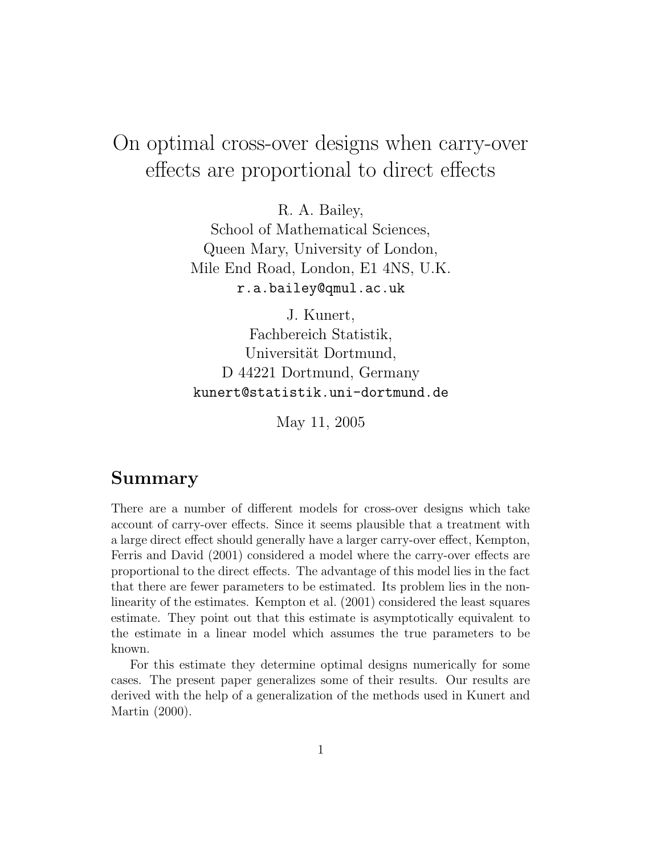# On optimal cross-over designs when carry-over effects are proportional to direct effects

R. A. Bailey, School of Mathematical Sciences, Queen Mary, University of London, Mile End Road, London, E1 4NS, U.K. r.a.bailey@qmul.ac.uk

J. Kunert, Fachbereich Statistik, Universität Dortmund, D 44221 Dortmund, Germany kunert@statistik.uni-dortmund.de

May 11, 2005

#### Summary

There are a number of different models for cross-over designs which take account of carry-over effects. Since it seems plausible that a treatment with a large direct effect should generally have a larger carry-over effect, Kempton, Ferris and David (2001) considered a model where the carry-over effects are proportional to the direct effects. The advantage of this model lies in the fact that there are fewer parameters to be estimated. Its problem lies in the nonlinearity of the estimates. Kempton et al. (2001) considered the least squares estimate. They point out that this estimate is asymptotically equivalent to the estimate in a linear model which assumes the true parameters to be known.

For this estimate they determine optimal designs numerically for some cases. The present paper generalizes some of their results. Our results are derived with the help of a generalization of the methods used in Kunert and Martin (2000).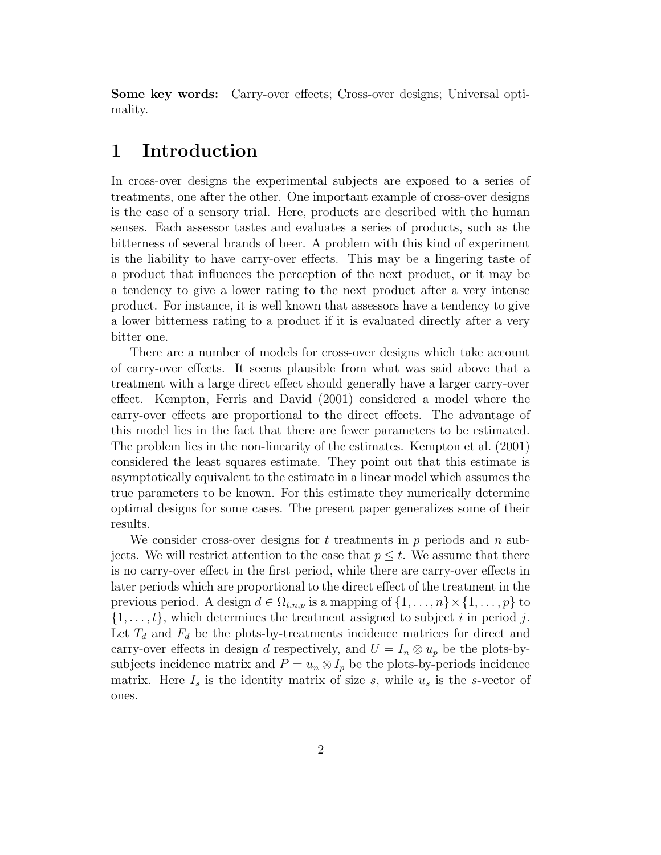Some key words: Carry-over effects; Cross-over designs; Universal optimality.

### 1 Introduction

In cross-over designs the experimental subjects are exposed to a series of treatments, one after the other. One important example of cross-over designs is the case of a sensory trial. Here, products are described with the human senses. Each assessor tastes and evaluates a series of products, such as the bitterness of several brands of beer. A problem with this kind of experiment is the liability to have carry-over effects. This may be a lingering taste of a product that influences the perception of the next product, or it may be a tendency to give a lower rating to the next product after a very intense product. For instance, it is well known that assessors have a tendency to give a lower bitterness rating to a product if it is evaluated directly after a very bitter one.

There are a number of models for cross-over designs which take account of carry-over effects. It seems plausible from what was said above that a treatment with a large direct effect should generally have a larger carry-over effect. Kempton, Ferris and David (2001) considered a model where the carry-over effects are proportional to the direct effects. The advantage of this model lies in the fact that there are fewer parameters to be estimated. The problem lies in the non-linearity of the estimates. Kempton et al. (2001) considered the least squares estimate. They point out that this estimate is asymptotically equivalent to the estimate in a linear model which assumes the true parameters to be known. For this estimate they numerically determine optimal designs for some cases. The present paper generalizes some of their results.

We consider cross-over designs for  $t$  treatments in  $p$  periods and  $n$  subjects. We will restrict attention to the case that  $p \leq t$ . We assume that there is no carry-over effect in the first period, while there are carry-over effects in later periods which are proportional to the direct effect of the treatment in the previous period. A design  $d \in \Omega_{t,n,p}$  is a mapping of  $\{1,\ldots,n\} \times \{1,\ldots,p\}$  to  $\{1, \ldots, t\}$ , which determines the treatment assigned to subject i in period j. Let  $T_d$  and  $F_d$  be the plots-by-treatments incidence matrices for direct and carry-over effects in design d respectively, and  $U = I_n \otimes u_p$  be the plots-bysubjects incidence matrix and  $P = u_n \otimes I_p$  be the plots-by-periods incidence matrix. Here  $I_s$  is the identity matrix of size s, while  $u_s$  is the s-vector of ones.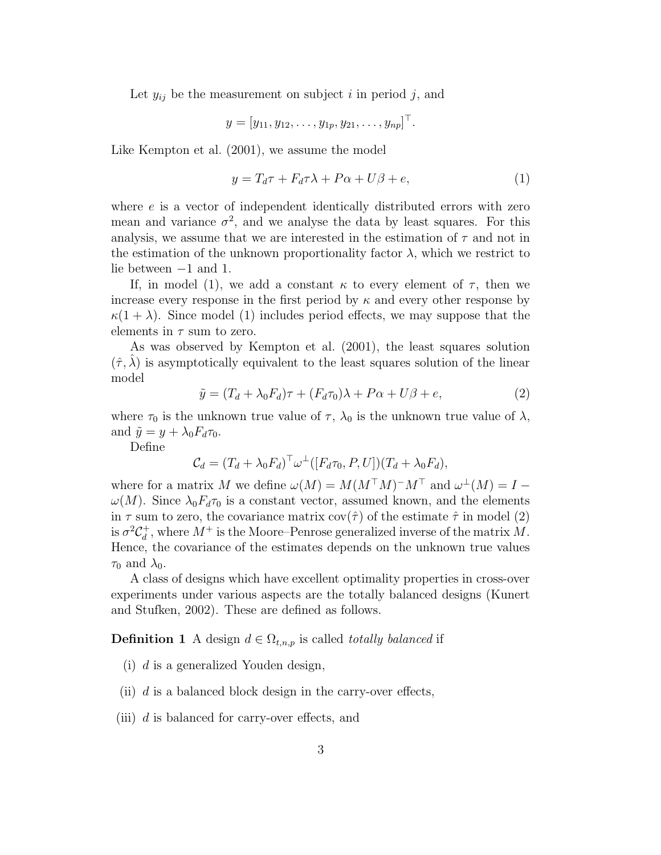Let  $y_{ij}$  be the measurement on subject i in period j, and

$$
y = [y_{11}, y_{12}, \dots, y_{1p}, y_{21}, \dots, y_{np}]^{\top}.
$$

Like Kempton et al. (2001), we assume the model

$$
y = T_d \tau + F_d \tau \lambda + P \alpha + U \beta + e, \tag{1}
$$

where e is a vector of independent identically distributed errors with zero mean and variance  $\sigma^2$ , and we analyse the data by least squares. For this analysis, we assume that we are interested in the estimation of  $\tau$  and not in the estimation of the unknown proportionality factor  $\lambda$ , which we restrict to lie between −1 and 1.

If, in model (1), we add a constant  $\kappa$  to every element of  $\tau$ , then we increase every response in the first period by  $\kappa$  and every other response by  $\kappa(1+\lambda)$ . Since model (1) includes period effects, we may suppose that the elements in  $\tau$  sum to zero.

As was observed by Kempton et al. (2001), the least squares solution  $(\hat{\tau}, \hat{\lambda})$  is asymptotically equivalent to the least squares solution of the linear model

$$
\tilde{y} = (T_d + \lambda_0 F_d)\tau + (F_d \tau_0)\lambda + P\alpha + U\beta + e,\tag{2}
$$

where  $\tau_0$  is the unknown true value of  $\tau$ ,  $\lambda_0$  is the unknown true value of  $\lambda$ , and  $\tilde{y} = y + \lambda_0 F_d \tau_0$ .

Define

$$
\mathcal{C}_d = (T_d + \lambda_0 F_d)^\top \omega^\perp ([F_d \tau_0, P, U])(T_d + \lambda_0 F_d),
$$

where for a matrix M we define  $\omega(M) = M(M^{\top}M)^{-}M^{\top}$  and  $\omega^{\perp}(M) = I \omega(M)$ . Since  $\lambda_0 F_d \tau_0$  is a constant vector, assumed known, and the elements in  $\tau$  sum to zero, the covariance matrix  $cov(\hat{\tau})$  of the estimate  $\hat{\tau}$  in model (2) is  $\sigma^2 C_d^+$ <sup> $^+_d$ </sup>, where  $M^+$  is the Moore–Penrose generalized inverse of the matrix  $M$ . Hence, the covariance of the estimates depends on the unknown true values  $\tau_0$  and  $\lambda_0$ .

A class of designs which have excellent optimality properties in cross-over experiments under various aspects are the totally balanced designs (Kunert and Stufken, 2002). These are defined as follows.

**Definition 1** A design  $d \in \Omega_{t,n,p}$  is called *totally balanced* if

- (i) d is a generalized Youden design,
- (ii)  $d$  is a balanced block design in the carry-over effects,
- (iii)  $d$  is balanced for carry-over effects, and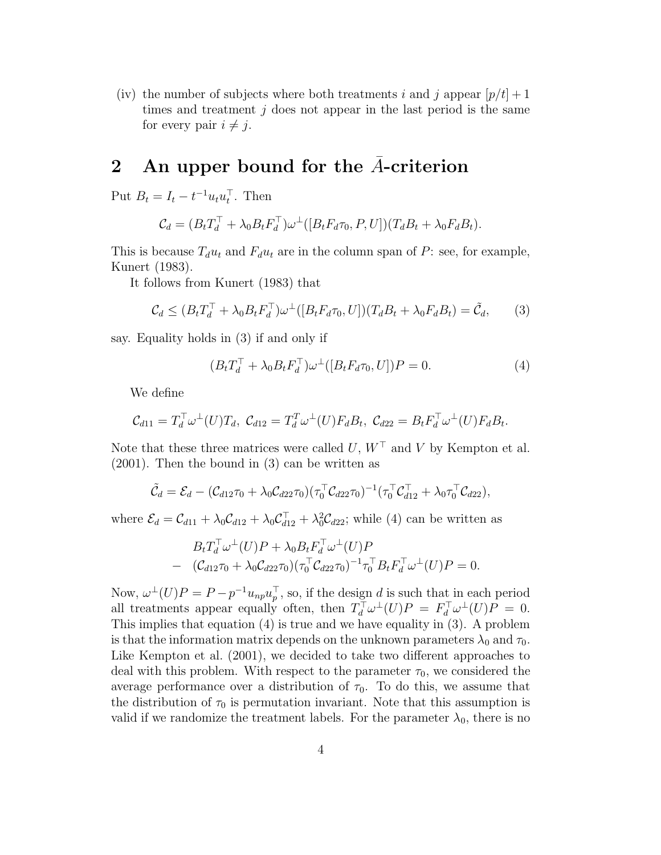(iv) the number of subjects where both treatments i and j appear  $[p/t] + 1$ times and treatment  $j$  does not appear in the last period is the same for every pair  $i \neq j$ .

#### 2 An upper bound for the A-criterion

Put  $B_t = I_t - t^{-1} u_t u_t^{\top}$ . Then

$$
\mathcal{C}_d = (B_t T_d^{\top} + \lambda_0 B_t F_d^{\top}) \omega^{\perp} ([B_t F_d \tau_0, P, U])(T_d B_t + \lambda_0 F_d B_t).
$$

This is because  $T_d u_t$  and  $F_d u_t$  are in the column span of P: see, for example, Kunert (1983).

It follows from Kunert (1983) that

$$
\mathcal{C}_d \le (B_t T_d^\top + \lambda_0 B_t F_d^\top) \omega^\perp ([B_t F_d \tau_0, U])(T_d B_t + \lambda_0 F_d B_t) = \tilde{\mathcal{C}}_d,\qquad(3)
$$

say. Equality holds in (3) if and only if

$$
(B_t T_d^{\top} + \lambda_0 B_t F_d^{\top}) \omega^{\perp} ([B_t F_d \tau_0, U]) P = 0.
$$
\n<sup>(4)</sup>

We define

$$
\mathcal{C}_{d11} = T_d^\top \omega^\perp(U) T_d, \ \mathcal{C}_{d12} = T_d^\top \omega^\perp(U) F_d B_t, \ \mathcal{C}_{d22} = B_t F_d^\top \omega^\perp(U) F_d B_t.
$$

Note that these three matrices were called  $U, W^{\top}$  and V by Kempton et al. (2001). Then the bound in (3) can be written as

$$
\tilde{\mathcal{C}}_d = \mathcal{E}_d - (\mathcal{C}_{d12}\tau_0 + \lambda_0 \mathcal{C}_{d22}\tau_0)(\tau_0^{\top} \mathcal{C}_{d22}\tau_0)^{-1}(\tau_0^{\top} \mathcal{C}_{d12}^{\top} + \lambda_0 \tau_0^{\top} \mathcal{C}_{d22}),
$$

where  $\mathcal{E}_d = \mathcal{C}_{d11} + \lambda_0 \mathcal{C}_{d12} + \lambda_0 \mathcal{C}_{d12}^{\top} + \lambda_0^2 \mathcal{C}_{d22}$ ; while (4) can be written as

$$
B_t T_d^{\top} \omega^{\perp} (U) P + \lambda_0 B_t F_d^{\top} \omega^{\perp} (U) P - (\mathcal{C}_{d12} \tau_0 + \lambda_0 \mathcal{C}_{d22} \tau_0) (\tau_0^{\top} \mathcal{C}_{d22} \tau_0)^{-1} \tau_0^{\top} B_t F_d^{\top} \omega^{\perp} (U) P = 0.
$$

Now,  $\omega^{\perp}(U)P = P - p^{-1}u_{np}u_p^{\perp}$ , so, if the design d is such that in each period all treatments appear equally often, then  $T_d^{\top} \omega^{\perp}(U) P = F_d^{\top} \omega^{\perp}(U) P = 0$ . This implies that equation (4) is true and we have equality in (3). A problem is that the information matrix depends on the unknown parameters  $\lambda_0$  and  $\tau_0$ . Like Kempton et al. (2001), we decided to take two different approaches to deal with this problem. With respect to the parameter  $\tau_0$ , we considered the average performance over a distribution of  $\tau_0$ . To do this, we assume that the distribution of  $\tau_0$  is permutation invariant. Note that this assumption is valid if we randomize the treatment labels. For the parameter  $\lambda_0$ , there is no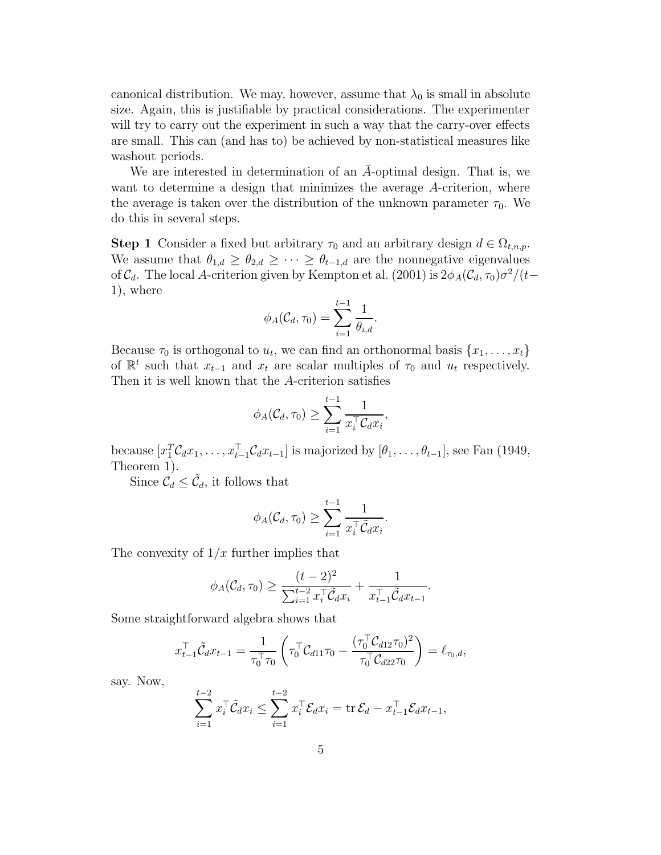canonical distribution. We may, however, assume that  $\lambda_0$  is small in absolute size. Again, this is justifiable by practical considerations. The experimenter will try to carry out the experiment in such a way that the carry-over effects are small. This can (and has to) be achieved by non-statistical measures like washout periods.

We are interested in determination of an  $\bar{A}$ -optimal design. That is, we want to determine a design that minimizes the average A-criterion, where the average is taken over the distribution of the unknown parameter  $\tau_0$ . We do this in several steps.

**Step 1** Consider a fixed but arbitrary  $\tau_0$  and an arbitrary design  $d \in \Omega_{t,n,p}$ . We assume that  $\theta_{1,d} \geq \theta_{2,d} \geq \cdots \geq \theta_{t-1,d}$  are the nonnegative eigenvalues of  $C_d$ . The local A-criterion given by Kempton et al. (2001) is  $2\phi_A(C_d, \tau_0)\sigma^2/(t-\tau_0)$ 1), where

$$
\phi_A(\mathcal{C}_d, \tau_0) = \sum_{i=1}^{t-1} \frac{1}{\theta_{i,d}}.
$$

Because  $\tau_0$  is orthogonal to  $u_t$ , we can find an orthonormal basis  $\{x_1, \ldots, x_t\}$ of  $\mathbb{R}^t$  such that  $x_{t-1}$  and  $x_t$  are scalar multiples of  $\tau_0$  and  $u_t$  respectively. Then it is well known that the A-criterion satisfies

$$
\phi_A(\mathcal{C}_d, \tau_0) \geq \sum_{i=1}^{t-1} \frac{1}{x_i^\top \mathcal{C}_d x_i},
$$

because  $[x_1^T C_d x_1, \ldots, x_{t-1}^T C_d x_{t-1}]$  is majorized by  $[\theta_1, \ldots, \theta_{t-1}]$ , see Fan (1949, Theorem 1).

Since  $\mathcal{C}_d \leq \tilde{\mathcal{C}}_d$ , it follows that

$$
\phi_A(\mathcal{C}_d, \tau_0) \geq \sum_{i=1}^{t-1} \frac{1}{x_i^{\top} \tilde{\mathcal{C}}_d x_i}.
$$

The convexity of  $1/x$  further implies that

$$
\phi_A(C_d, \tau_0) \ge \frac{(t-2)^2}{\sum_{i=1}^{t-2} x_i^{\top} \tilde{C}_d x_i} + \frac{1}{x_{t-1}^{\top} \tilde{C}_d x_{t-1}}.
$$

Some straightforward algebra shows that

$$
x_{t-1}^{\top} \tilde{\mathcal{C}}_d x_{t-1} = \frac{1}{\tau_0^{\top} \tau_0} \left( \tau_0^{\top} \mathcal{C}_{d11} \tau_0 - \frac{(\tau_0^{\top} \mathcal{C}_{d12} \tau_0)^2}{\tau_0^{\top} \mathcal{C}_{d22} \tau_0} \right) = \ell_{\tau_0, d},
$$

say. Now,

$$
\sum_{i=1}^{t-2} x_i^\top \tilde{\mathcal{C}}_d x_i \le \sum_{i=1}^{t-2} x_i^\top \mathcal{E}_d x_i = \text{tr}\, \mathcal{E}_d - x_{t-1}^\top \mathcal{E}_d x_{t-1},
$$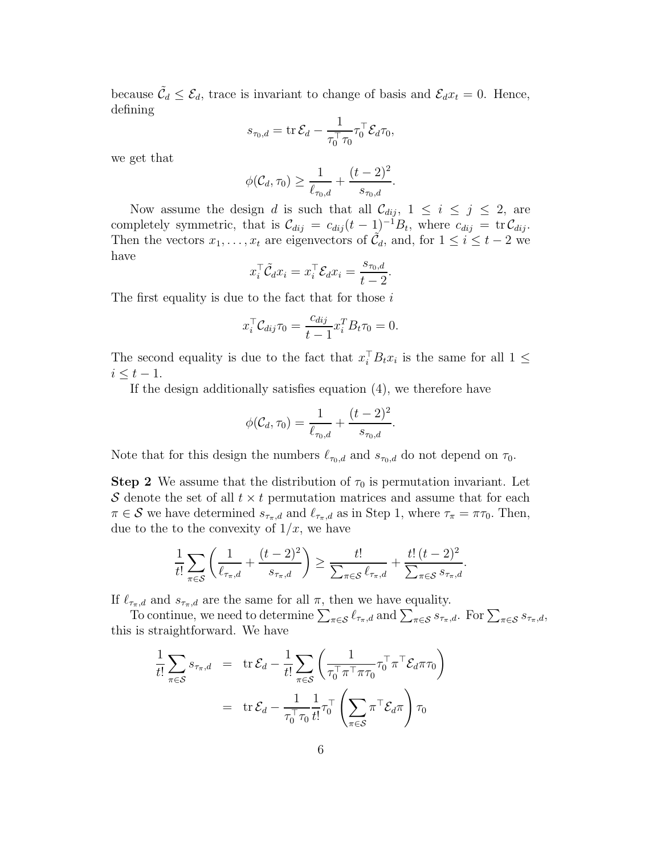because  $\tilde{\mathcal{C}}_d \leq \mathcal{E}_d$ , trace is invariant to change of basis and  $\mathcal{E}_d x_t = 0$ . Hence, defining

$$
s_{\tau_0,d} = \operatorname{tr} \mathcal{E}_d - \frac{1}{\tau_0^{\top} \tau_0} \tau_0^{\top} \mathcal{E}_d \tau_0,
$$

we get that

$$
\phi(\mathcal{C}_d, \tau_0) \ge \frac{1}{\ell_{\tau_0, d}} + \frac{(t-2)^2}{s_{\tau_0, d}}.
$$

Now assume the design d is such that all  $\mathcal{C}_{dij}$ ,  $1 \leq i \leq j \leq 2$ , are completely symmetric, that is  $\mathcal{C}_{dij} = c_{dij}(t-1)^{-1}B_t$ , where  $c_{dij} = \text{tr } \mathcal{C}_{dij}$ . Then the vectors  $x_1, \ldots, x_t$  are eigenvectors of  $\tilde{C}_d$ , and, for  $1 \leq i \leq t-2$  we have

$$
x_i^{\top} \tilde{\mathcal{C}}_d x_i = x_i^{\top} \mathcal{E}_d x_i = \frac{s_{\tau_0, d}}{t - 2}.
$$

The first equality is due to the fact that for those  $i$ 

$$
x_i^{\top} \mathcal{C}_{dij} \tau_0 = \frac{c_{dij}}{t-1} x_i^{\top} B_t \tau_0 = 0.
$$

The second equality is due to the fact that  $x_i^{\top} B_t x_i$  is the same for all  $1 \leq$  $i \leq t-1$ .

If the design additionally satisfies equation (4), we therefore have

$$
\phi(C_d, \tau_0) = \frac{1}{\ell_{\tau_0, d}} + \frac{(t-2)^2}{s_{\tau_0, d}}
$$

.

Note that for this design the numbers  $\ell_{\tau_0,d}$  and  $s_{\tau_0,d}$  do not depend on  $\tau_0$ .

**Step 2** We assume that the distribution of  $\tau_0$  is permutation invariant. Let S denote the set of all  $t \times t$  permutation matrices and assume that for each  $\pi \in \mathcal{S}$  we have determined  $s_{\tau_{\pi},d}$  and  $\ell_{\tau_{\pi},d}$  as in Step 1, where  $\tau_{\pi} = \pi \tau_0$ . Then, due to the to the convexity of  $1/x$ , we have

$$
\frac{1}{t!}\sum_{\pi\in\mathcal{S}}\left(\frac{1}{\ell_{\tau_{\pi},d}}+\frac{(t-2)^2}{s_{\tau_{\pi},d}}\right)\geq \frac{t!}{\sum_{\pi\in\mathcal{S}}\ell_{\tau_{\pi},d}}+\frac{t!(t-2)^2}{\sum_{\pi\in\mathcal{S}}s_{\tau_{\pi},d}}.
$$

If  $\ell_{\tau_{\pi},d}$  and  $s_{\tau_{\pi},d}$  are the same for all  $\pi$ , then we have equality.

To continue, we need to determine  $\sum_{\pi \in \mathcal{S}} \ell_{\tau_{\pi},d}$  and  $\sum_{\pi \in \mathcal{S}} s_{\tau_{\pi},d}$ . For  $\sum_{\pi \in \mathcal{S}} s_{\tau_{\pi},d}$ , this is straightforward. We have

$$
\frac{1}{t!} \sum_{\pi \in \mathcal{S}} s_{\tau_{\pi}, d} = \text{tr} \, \mathcal{E}_{d} - \frac{1}{t!} \sum_{\pi \in \mathcal{S}} \left( \frac{1}{\tau_{0}^{\top} \pi^{\top} \pi \tau_{0}} \tau_{0}^{\top} \pi^{\top} \mathcal{E}_{d} \pi \tau_{0} \right)
$$
\n
$$
= \text{tr} \, \mathcal{E}_{d} - \frac{1}{\tau_{0}^{\top} \tau_{0}} \frac{1}{t!} \tau_{0}^{\top} \left( \sum_{\pi \in \mathcal{S}} \pi^{\top} \mathcal{E}_{d} \pi \right) \tau_{0}
$$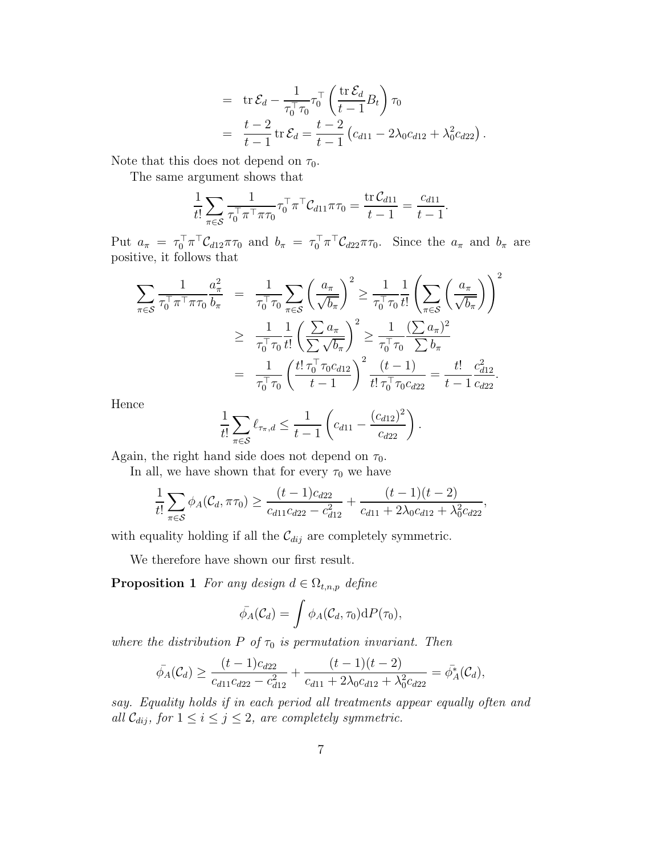= 
$$
\text{tr} \mathcal{E}_d - \frac{1}{\tau_0^{\top} \tau_0} \tau_0^{\top} \left( \frac{\text{tr} \mathcal{E}_d}{t-1} B_t \right) \tau_0
$$
  
=  $\frac{t-2}{t-1} \text{tr} \mathcal{E}_d = \frac{t-2}{t-1} (c_{d11} - 2\lambda_0 c_{d12} + \lambda_0^2 c_{d22}).$ 

Note that this does not depend on  $\tau_0$ .

The same argument shows that

$$
\frac{1}{t!} \sum_{\pi \in \mathcal{S}} \frac{1}{\tau_0^{\top} \pi^{\top} \pi \tau_0} \tau_0^{\top} \pi^{\top} \mathcal{C}_{d11} \pi \tau_0 = \frac{\text{tr } \mathcal{C}_{d11}}{t-1} = \frac{c_{d11}}{t-1}.
$$

Put  $a_{\pi} = \tau_0^{\top} \pi^{\top} C_{d12} \pi \tau_0$  and  $b_{\pi} = \tau_0^{\top} \pi^{\top} C_{d22} \pi \tau_0$ . Since the  $a_{\pi}$  and  $b_{\pi}$  are positive, it follows that

$$
\sum_{\pi \in S} \frac{1}{\tau_0^{\top} \pi^{\top} \pi \tau_0} \frac{a_{\pi}^2}{b_{\pi}} = \frac{1}{\tau_0^{\top} \tau_0} \sum_{\pi \in S} \left(\frac{a_{\pi}}{\sqrt{b_{\pi}}}\right)^2 \ge \frac{1}{\tau_0^{\top} \tau_0} \frac{1}{t!} \left(\sum_{\pi \in S} \left(\frac{a_{\pi}}{\sqrt{b_{\pi}}}\right)\right)^2
$$
\n
$$
\ge \frac{1}{\tau_0^{\top} \tau_0} \frac{1}{t!} \left(\frac{\sum a_{\pi}}{\sum \sqrt{b_{\pi}}}\right)^2 \ge \frac{1}{\tau_0^{\top} \tau_0} \frac{(\sum a_{\pi})^2}{\sum b_{\pi}}
$$
\n
$$
= \frac{1}{\tau_0^{\top} \tau_0} \left(\frac{t! \tau_0^{\top} \tau_0 c_{d12}}{t-1}\right)^2 \frac{(t-1)}{t! \tau_0^{\top} \tau_0 c_{d22}} = \frac{t!}{t-1} \frac{c_{d12}^2}{c_{d22}}.
$$

Hence

$$
\frac{1}{t!} \sum_{\pi \in \mathcal{S}} \ell_{\tau_{\pi},d} \leq \frac{1}{t-1} \left( c_{d11} - \frac{(c_{d12})^2}{c_{d22}} \right).
$$

Again, the right hand side does not depend on  $\tau_0$ .

In all, we have shown that for every  $\tau_0$  we have

$$
\frac{1}{t!} \sum_{\pi \in S} \phi_A(C_d, \pi \tau_0) \ge \frac{(t-1)c_{d22}}{c_{d11}c_{d22} - c_{d12}^2} + \frac{(t-1)(t-2)}{c_{d11} + 2\lambda_0 c_{d12} + \lambda_0^2 c_{d22}},
$$

with equality holding if all the  $\mathcal{C}_{dij}$  are completely symmetric.

We therefore have shown our first result.

**Proposition 1** For any design  $d \in \Omega_{t,n,p}$  define

$$
\bar{\phi}_A(\mathcal{C}_d) = \int \phi_A(\mathcal{C}_d, \tau_0) \mathrm{d}P(\tau_0),
$$

where the distribution  $P$  of  $\tau_0$  is permutation invariant. Then

$$
\bar{\phi}_A(\mathcal{C}_d) \ge \frac{(t-1)c_{d22}}{c_{d11}c_{d22} - c_{d12}^2} + \frac{(t-1)(t-2)}{c_{d11} + 2\lambda_0 c_{d12} + \lambda_0^2 c_{d22}} = \bar{\phi}_A^*(\mathcal{C}_d),
$$

say. Equality holds if in each period all treatments appear equally often and all  $\mathcal{C}_{dij}$ , for  $1 \leq i \leq j \leq 2$ , are completely symmetric.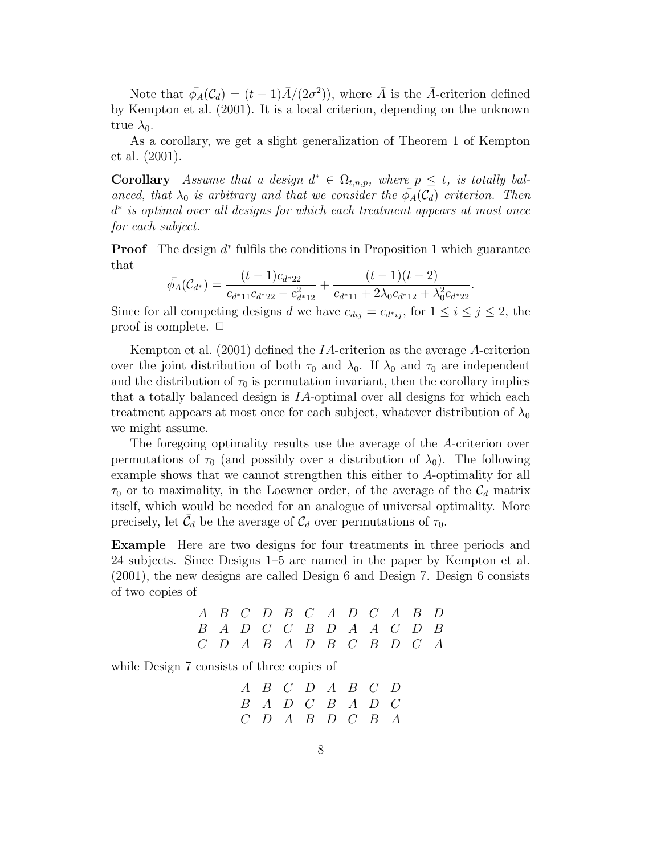Note that  $\bar{\phi}_A(C_d) = (t-1)\bar{A}/(2\sigma^2)$ , where  $\bar{A}$  is the  $\bar{A}$ -criterion defined by Kempton et al. (2001). It is a local criterion, depending on the unknown true  $\lambda_0$ .

As a corollary, we get a slight generalization of Theorem 1 of Kempton et al. (2001).

**Corollary** Assume that a design  $d^* \in \Omega_{t,n,p}$ , where  $p \leq t$ , is totally balanced, that  $\lambda_0$  is arbitrary and that we consider the  $\bar{\phi}_A(C_d)$  criterion. Then d ∗ is optimal over all designs for which each treatment appears at most once for each subject.

**Proof** The design  $d^*$  fulfils the conditions in Proposition 1 which guarantee that

$$
\bar{\phi}_A(\mathcal{C}_{d^*}) = \frac{(t-1)c_{d^*22}}{c_{d^*11}c_{d^*22} - c_{d^*12}^2} + \frac{(t-1)(t-2)}{c_{d^*11} + 2\lambda_0c_{d^*12} + \lambda_0^2c_{d^*22}}
$$

.

Since for all competing designs d we have  $c_{dij} = c_{d^*ij}$ , for  $1 \le i \le j \le 2$ , the proof is complete.  $\Box$ 

Kempton et al. (2001) defined the IA-criterion as the average A-criterion over the joint distribution of both  $\tau_0$  and  $\lambda_0$ . If  $\lambda_0$  and  $\tau_0$  are independent and the distribution of  $\tau_0$  is permutation invariant, then the corollary implies that a totally balanced design is IA-optimal over all designs for which each treatment appears at most once for each subject, whatever distribution of  $\lambda_0$ we might assume.

The foregoing optimality results use the average of the A-criterion over permutations of  $\tau_0$  (and possibly over a distribution of  $\lambda_0$ ). The following example shows that we cannot strengthen this either to A-optimality for all  $\tau_0$  or to maximality, in the Loewner order, of the average of the  $\mathcal{C}_d$  matrix itself, which would be needed for an analogue of universal optimality. More precisely, let  $\bar{\mathcal{C}}_d$  be the average of  $\mathcal{C}_d$  over permutations of  $\tau_0$ .

Example Here are two designs for four treatments in three periods and 24 subjects. Since Designs 1–5 are named in the paper by Kempton et al. (2001), the new designs are called Design 6 and Design 7. Design 6 consists of two copies of

|  |  |  |  | $A$ $B$ $C$ $D$ $B$ $C$ $A$ $D$ $C$ $A$ $B$ $D$ |  |
|--|--|--|--|-------------------------------------------------|--|
|  |  |  |  | $B$ A D C C B D A A C D B                       |  |
|  |  |  |  | $C$ D A B A D B C B D C A                       |  |

while Design 7 consists of three copies of

$$
\begin{array}{ccccccccc}A & B & C & D & A & B & C & D \\B & A & D & C & B & A & D & C \\C & D & A & B & D & C & B & A\end{array}
$$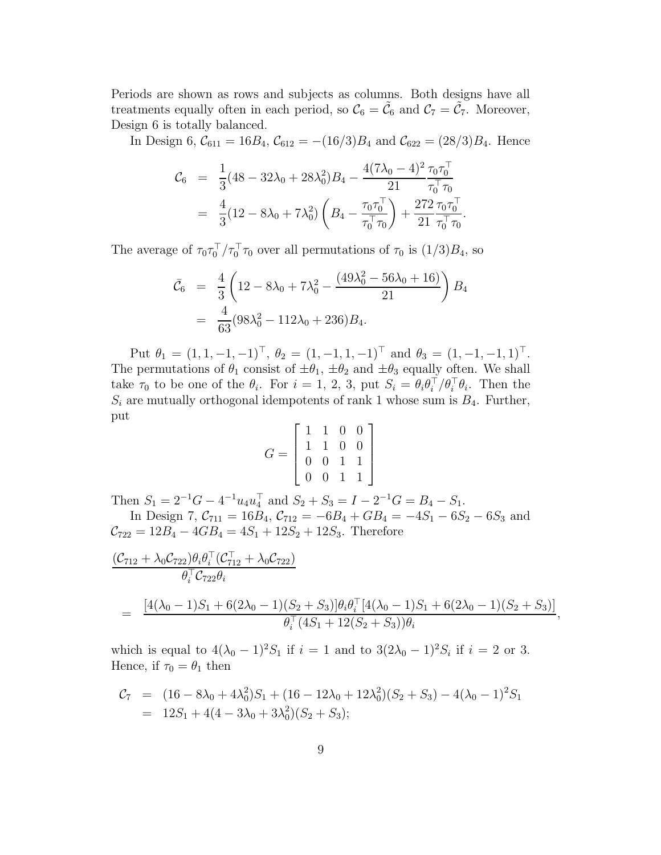Periods are shown as rows and subjects as columns. Both designs have all treatments equally often in each period, so  $C_6 = \tilde{C}_6$  and  $C_7 = \tilde{C}_7$ . Moreover, Design 6 is totally balanced.

In Design 6,  $C_{611} = 16B_4$ ,  $C_{612} = -(16/3)B_4$  and  $C_{622} = (28/3)B_4$ . Hence

.

$$
C_6 = \frac{1}{3}(48 - 32\lambda_0 + 28\lambda_0^2)B_4 - \frac{4(7\lambda_0 - 4)^2}{21} \frac{\tau_0 \tau_0^{\top}}{\tau_0^{\top} \tau_0}
$$
  
=  $\frac{4}{3}(12 - 8\lambda_0 + 7\lambda_0^2) \left(B_4 - \frac{\tau_0 \tau_0^{\top}}{\tau_0^{\top} \tau_0}\right) + \frac{272}{21} \frac{\tau_0 \tau_0^{\top}}{\tau_0^{\top} \tau_0}$ 

The average of  $\tau_0 \tau_0^{\top}/\tau_0^{\top} \tau_0$  over all permutations of  $\tau_0$  is  $(1/3)B_4$ , so

$$
\bar{\mathcal{C}}_6 = \frac{4}{3} \left( 12 - 8\lambda_0 + 7\lambda_0^2 - \frac{(49\lambda_0^2 - 56\lambda_0 + 16)}{21} \right) B_4
$$
  
= 
$$
\frac{4}{63} (98\lambda_0^2 - 112\lambda_0 + 236) B_4.
$$

Put  $\theta_1 = (1, 1, -1, -1)^\top$ ,  $\theta_2 = (1, -1, 1, -1)^\top$  and  $\theta_3 = (1, -1, -1, 1)^\top$ . The permutations of  $\theta_1$  consist of  $\pm \theta_1$ ,  $\pm \theta_2$  and  $\pm \theta_3$  equally often. We shall take  $\tau_0$  to be one of the  $\theta_i$ . For  $i = 1, 2, 3$ , put  $S_i = \theta_i \theta_i^{\top}/\theta_i^{\top} \theta_i$ . Then the  $S_i$  are mutually orthogonal idempotents of rank 1 whose sum is  $B_4$ . Further, put

$$
G = \left[ \begin{array}{rrrr} 1 & 1 & 0 & 0 \\ 1 & 1 & 0 & 0 \\ 0 & 0 & 1 & 1 \\ 0 & 0 & 1 & 1 \end{array} \right]
$$

Then  $S_1 = 2^{-1}G - 4^{-1}u_4u_4^{\top}$  and  $S_2 + S_3 = I - 2^{-1}G = B_4 - S_1$ . In Design 7,  $C_{711} = 16B_4$ ,  $C_{712} = -6B_4 + GB_4 = -4S_1 - 6S_2 - 6S_3$  and

 $C_{722} = 12B_4 - 4GB_4 = 4S_1 + 12S_2 + 12S_3$ . Therefore

$$
\frac{(\mathcal{C}_{712} + \lambda_0 \mathcal{C}_{722})\theta_i \theta_i^{\top} (\mathcal{C}_{712}^{\top} + \lambda_0 \mathcal{C}_{722})}{\theta_i^{\top} \mathcal{C}_{722} \theta_i}
$$
\n
$$
= \frac{[4(\lambda_0 - 1)S_1 + 6(2\lambda_0 - 1)(S_2 + S_3)]\theta_i \theta_i^{\top} [4(\lambda_0 - 1)S_1 + 6(2\lambda_0 - 1)(S_2 + S_3)]}{\theta_i^{\top} (4S_1 + 12(S_2 + S_3))\theta_i},
$$

which is equal to  $4(\lambda_0 - 1)^2 S_1$  if  $i = 1$  and to  $3(2\lambda_0 - 1)^2 S_i$  if  $i = 2$  or 3. Hence, if  $\tau_0 = \theta_1$  then

$$
C_7 = (16 - 8\lambda_0 + 4\lambda_0^2)S_1 + (16 - 12\lambda_0 + 12\lambda_0^2)(S_2 + S_3) - 4(\lambda_0 - 1)^2 S_1
$$
  
= 12S\_1 + 4(4 - 3\lambda\_0 + 3\lambda\_0^2)(S\_2 + S\_3);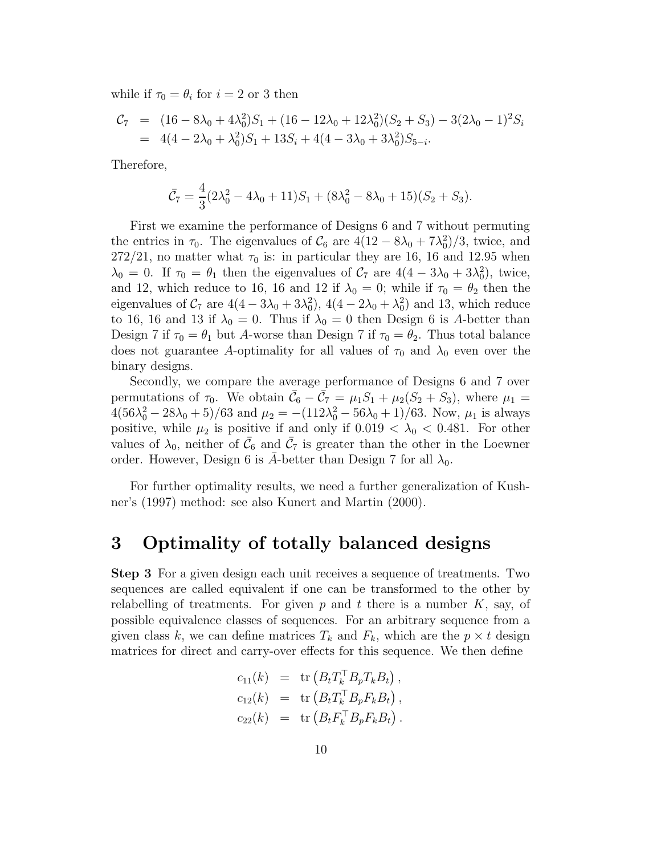while if  $\tau_0 = \theta_i$  for  $i = 2$  or 3 then

$$
C_7 = (16 - 8\lambda_0 + 4\lambda_0^2)S_1 + (16 - 12\lambda_0 + 12\lambda_0^2)(S_2 + S_3) - 3(2\lambda_0 - 1)^2 S_i
$$
  
= 4(4 - 2\lambda\_0 + \lambda\_0^2)S\_1 + 13S\_i + 4(4 - 3\lambda\_0 + 3\lambda\_0^2)S\_{5-i}.

Therefore,

$$
\bar{C}_7 = \frac{4}{3}(2\lambda_0^2 - 4\lambda_0 + 11)S_1 + (8\lambda_0^2 - 8\lambda_0 + 15)(S_2 + S_3).
$$

First we examine the performance of Designs 6 and 7 without permuting the entries in  $\tau_0$ . The eigenvalues of  $C_6$  are  $4(12 - 8\lambda_0 + 7\lambda_0^2)/3$ , twice, and  $272/21$ , no matter what  $\tau_0$  is: in particular they are 16, 16 and 12.95 when  $\lambda_0 = 0$ . If  $\tau_0 = \theta_1$  then the eigenvalues of  $C_7$  are  $4(4 - 3\lambda_0 + 3\lambda_0^2)$ , twice, and 12, which reduce to 16, 16 and 12 if  $\lambda_0 = 0$ ; while if  $\tau_0 = \theta_2$  then the eigenvalues of  $C_7$  are  $4(4-3\lambda_0+3\lambda_0^2)$ ,  $4(4-2\lambda_0+\lambda_0^2)$  and 13, which reduce to 16, 16 and 13 if  $\lambda_0 = 0$ . Thus if  $\lambda_0 = 0$  then Design 6 is A-better than Design 7 if  $\tau_0 = \theta_1$  but A-worse than Design 7 if  $\tau_0 = \theta_2$ . Thus total balance does not guarantee A-optimality for all values of  $\tau_0$  and  $\lambda_0$  even over the binary designs.

Secondly, we compare the average performance of Designs 6 and 7 over permutations of  $\tau_0$ . We obtain  $\bar{\mathcal{C}}_6 - \bar{\mathcal{C}}_7 = \mu_1 S_1 + \mu_2 (S_2 + S_3)$ , where  $\mu_1 =$  $4(56\lambda_0^2 - 28\lambda_0 + 5)/63$  and  $\mu_2 = -(112\lambda_0^2 - 56\lambda_0 + 1)/63$ . Now,  $\mu_1$  is always positive, while  $\mu_2$  is positive if and only if  $0.019 < \lambda_0 < 0.481$ . For other values of  $\lambda_0$ , neither of  $\bar{\mathcal{C}}_6$  and  $\bar{\mathcal{C}}_7$  is greater than the other in the Loewner order. However, Design 6 is  $\bar{A}$ -better than Design 7 for all  $\lambda_0$ .

For further optimality results, we need a further generalization of Kushner's (1997) method: see also Kunert and Martin (2000).

#### 3 Optimality of totally balanced designs

Step 3 For a given design each unit receives a sequence of treatments. Two sequences are called equivalent if one can be transformed to the other by relabelling of treatments. For given  $p$  and  $t$  there is a number  $K$ , say, of possible equivalence classes of sequences. For an arbitrary sequence from a given class k, we can define matrices  $T_k$  and  $F_k$ , which are the  $p \times t$  design matrices for direct and carry-over effects for this sequence. We then define

$$
c_{11}(k) = \text{tr} (B_t T_k^\top B_p T_k B_t),
$$
  
\n
$$
c_{12}(k) = \text{tr} (B_t T_k^\top B_p F_k B_t),
$$
  
\n
$$
c_{22}(k) = \text{tr} (B_t F_k^\top B_p F_k B_t).
$$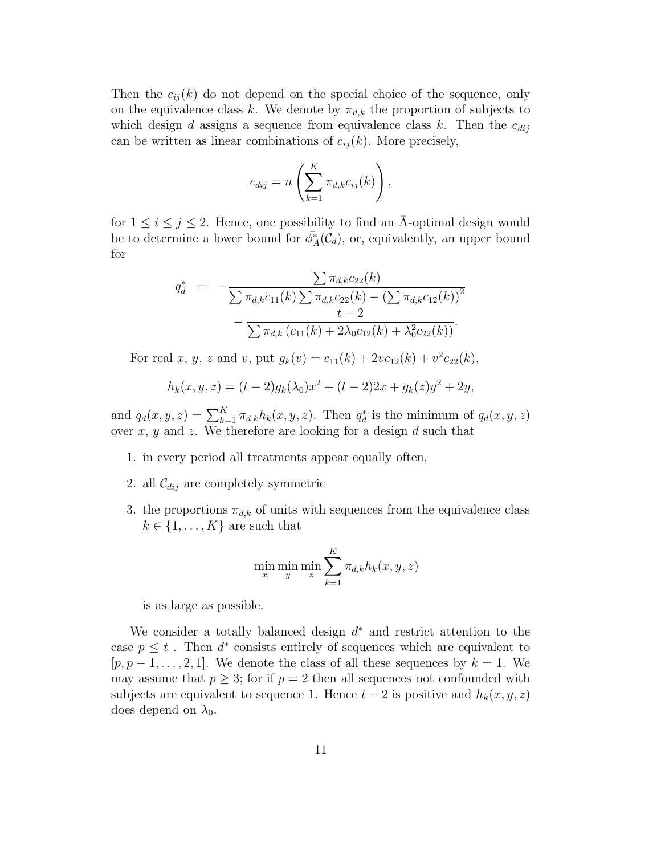Then the  $c_{ij}(k)$  do not depend on the special choice of the sequence, only on the equivalence class k. We denote by  $\pi_{d,k}$  the proportion of subjects to which design d assigns a sequence from equivalence class k. Then the  $c_{dij}$ can be written as linear combinations of  $c_{ij}(k)$ . More precisely,

$$
c_{dij} = n\left(\sum_{k=1}^K \pi_{d,k} c_{ij}(k)\right),\,
$$

for  $1 \leq i \leq j \leq 2$ . Hence, one possibility to find an A-optimal design would be to determine a lower bound for  $\bar{\phi}_A^*(\mathcal{C}_d)$ , or, equivalently, an upper bound for

$$
q_d^* = -\frac{\sum \pi_{d,k}c_{22}(k)}{\sum \pi_{d,k}c_{11}(k)\sum \pi_{d,k}c_{22}(k) - (\sum \pi_{d,k}c_{12}(k))^2} - \frac{t-2}{\sum \pi_{d,k}(c_{11}(k) + 2\lambda_0c_{12}(k) + \lambda_0^2c_{22}(k))}.
$$

For real x, y, z and v, put  $g_k(v) = c_{11}(k) + 2vc_{12}(k) + v^2c_{22}(k)$ ,

$$
h_k(x, y, z) = (t - 2)g_k(\lambda_0)x^2 + (t - 2)2x + g_k(z)y^2 + 2y,
$$

and  $q_d(x, y, z) = \sum_{k=1}^{K} \pi_{d,k} h_k(x, y, z)$ . Then  $q_d^*$  is the minimum of  $q_d(x, y, z)$ over  $x, y$  and  $z$ . We therefore are looking for a design  $d$  such that

- 1. in every period all treatments appear equally often,
- 2. all  $\mathcal{C}_{dij}$  are completely symmetric
- 3. the proportions  $\pi_{d,k}$  of units with sequences from the equivalence class  $k \in \{1, \ldots, K\}$  are such that

$$
\min_{x} \min_{y} \min_{z} \sum_{k=1}^{K} \pi_{d,k} h_k(x, y, z)
$$

is as large as possible.

We consider a totally balanced design  $d^*$  and restrict attention to the case  $p \leq t$ . Then  $d^*$  consists entirely of sequences which are equivalent to  $[p, p-1, \ldots, 2, 1]$ . We denote the class of all these sequences by  $k = 1$ . We may assume that  $p \geq 3$ ; for if  $p = 2$  then all sequences not confounded with subjects are equivalent to sequence 1. Hence  $t-2$  is positive and  $h_k(x, y, z)$ does depend on  $\lambda_0$ .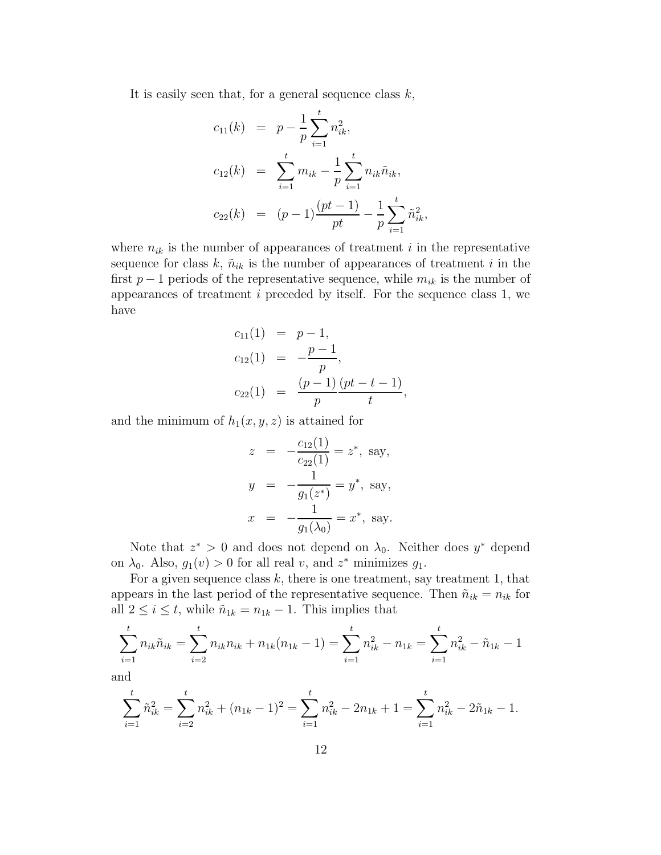It is easily seen that, for a general sequence class  $k$ ,

$$
c_{11}(k) = p - \frac{1}{p} \sum_{i=1}^{t} n_{ik}^{2},
$$
  
\n
$$
c_{12}(k) = \sum_{i=1}^{t} m_{ik} - \frac{1}{p} \sum_{i=1}^{t} n_{ik} \tilde{n}_{ik},
$$
  
\n
$$
c_{22}(k) = (p-1) \frac{(pt-1)}{pt} - \frac{1}{p} \sum_{i=1}^{t} \tilde{n}_{ik}^{2},
$$

where  $n_{ik}$  is the number of appearances of treatment i in the representative sequence for class  $k, \tilde{n}_{ik}$  is the number of appearances of treatment i in the first  $p-1$  periods of the representative sequence, while  $m_{ik}$  is the number of appearances of treatment  $i$  preceded by itself. For the sequence class 1, we have

$$
c_{11}(1) = p-1,
$$
  
\n
$$
c_{12}(1) = -\frac{p-1}{p},
$$
  
\n
$$
c_{22}(1) = \frac{(p-1)}{p} \frac{(pt-t-1)}{t},
$$

and the minimum of  $h_1(x, y, z)$  is attained for

$$
z = -\frac{c_{12}(1)}{c_{22}(1)} = z^*, \text{ say,}
$$
  
\n
$$
y = -\frac{1}{g_1(z^*)} = y^*, \text{ say,}
$$
  
\n
$$
x = -\frac{1}{g_1(\lambda_0)} = x^*, \text{ say.}
$$

Note that  $z^* > 0$  and does not depend on  $\lambda_0$ . Neither does  $y^*$  depend on  $\lambda_0$ . Also,  $g_1(v) > 0$  for all real v, and  $z^*$  minimizes  $g_1$ .

For a given sequence class  $k$ , there is one treatment, say treatment 1, that appears in the last period of the representative sequence. Then  $\tilde{n}_{ik} = n_{ik}$  for all  $2 \leq i \leq t$ , while  $\tilde{n}_{1k} = n_{1k} - 1$ . This implies that

$$
\sum_{i=1}^{t} n_{ik} \tilde{n}_{ik} = \sum_{i=2}^{t} n_{ik} n_{ik} + n_{1k} (n_{1k} - 1) = \sum_{i=1}^{t} n_{ik}^2 - n_{1k} = \sum_{i=1}^{t} n_{ik}^2 - \tilde{n}_{1k} - 1
$$

and

$$
\sum_{i=1}^{t} \tilde{n}_{ik}^{2} = \sum_{i=2}^{t} n_{ik}^{2} + (n_{1k} - 1)^{2} = \sum_{i=1}^{t} n_{ik}^{2} - 2n_{1k} + 1 = \sum_{i=1}^{t} n_{ik}^{2} - 2\tilde{n}_{1k} - 1.
$$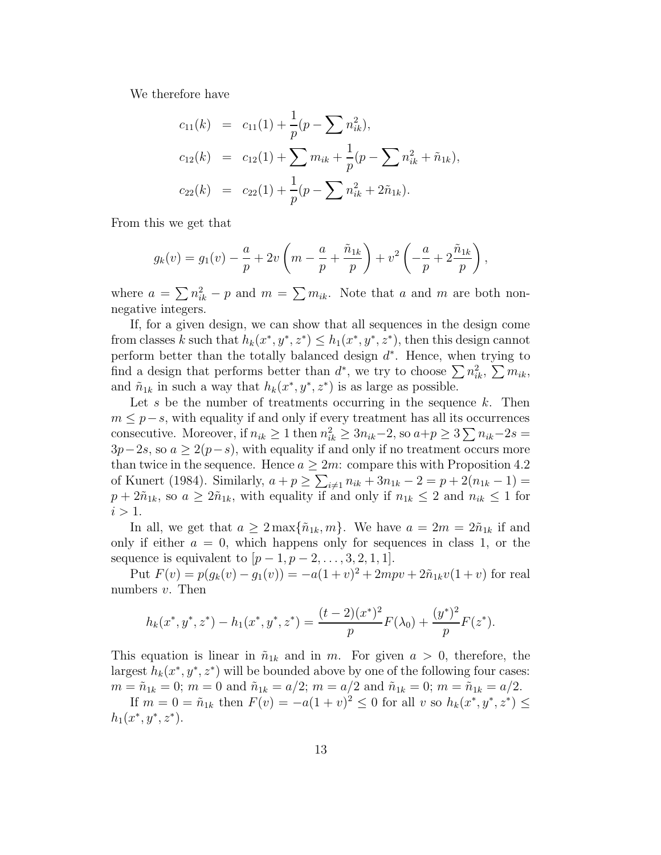We therefore have

$$
c_{11}(k) = c_{11}(1) + \frac{1}{p}(p - \sum n_{ik}^2),
$$
  
\n
$$
c_{12}(k) = c_{12}(1) + \sum m_{ik} + \frac{1}{p}(p - \sum n_{ik}^2 + \tilde{n}_{1k}),
$$
  
\n
$$
c_{22}(k) = c_{22}(1) + \frac{1}{p}(p - \sum n_{ik}^2 + 2\tilde{n}_{1k}).
$$

From this we get that

$$
g_k(v) = g_1(v) - \frac{a}{p} + 2v\left(m - \frac{a}{p} + \frac{\tilde{n}_{1k}}{p}\right) + v^2\left(-\frac{a}{p} + 2\frac{\tilde{n}_{1k}}{p}\right),
$$

where  $a = \sum n_{ik}^2 - p$  and  $m = \sum m_{ik}$ . Note that a and m are both nonnegative integers.

If, for a given design, we can show that all sequences in the design come from classes k such that  $h_k(x^*, y^*, z^*) \leq h_1(x^*, y^*, z^*)$ , then this design cannot perform better than the totally balanced design  $d^*$ . Hence, when trying to find a design that performs better than  $d^*$ , we try to choose  $\sum n_{ik}^2$ ,  $\sum m_{ik}$ , and  $\tilde{n}_{1k}$  in such a way that  $h_k(x^*, y^*, z^*)$  is as large as possible.

Let s be the number of treatments occurring in the sequence  $k$ . Then  $m \leq p-s$ , with equality if and only if every treatment has all its occurrences consecutive. Moreover, if  $n_{ik} \ge 1$  then  $n_{ik}^2 \ge 3n_{ik}-2$ , so  $a+p \ge 3\sum n_{ik}-2s$  $3p-2s$ , so  $a \geq 2(p-s)$ , with equality if and only if no treatment occurs more than twice in the sequence. Hence  $a \geq 2m$ : compare this with Proposition 4.2 of Kunert (1984). Similarly,  $a + p \ge \sum_{i \ne 1} n_{ik} + 3n_{1k} - 2 = p + 2(n_{1k} - 1) =$  $p + 2\tilde{n}_{1k}$ , so  $a \geq 2\tilde{n}_{1k}$ , with equality if and only if  $n_{1k} \leq 2$  and  $n_{ik} \leq 1$  for  $i > 1$ .

In all, we get that  $a \geq 2 \max{\{\tilde{n}_{1k}, m\}}$ . We have  $a = 2m = 2\tilde{n}_{1k}$  if and only if either  $a = 0$ , which happens only for sequences in class 1, or the sequence is equivalent to  $[p-1, p-2, \ldots, 3, 2, 1, 1].$ 

Put  $F(v) = p(g_k(v) - g_1(v)) = -a(1+v)^2 + 2mpv + 2\tilde{n}_{1k}v(1+v)$  for real numbers  $v$ . Then

$$
h_k(x^*, y^*, z^*) - h_1(x^*, y^*, z^*) = \frac{(t-2)(x^*)^2}{p} F(\lambda_0) + \frac{(y^*)^2}{p} F(z^*).
$$

This equation is linear in  $\tilde{n}_{1k}$  and in m. For given  $a > 0$ , therefore, the largest  $h_k(x^*, y^*, z^*)$  will be bounded above by one of the following four cases:  $m = \tilde{n}_{1k} = 0$ ;  $m = 0$  and  $\tilde{n}_{1k} = a/2$ ;  $m = a/2$  and  $\tilde{n}_{1k} = 0$ ;  $m = \tilde{n}_{1k} = a/2$ .

If  $m = 0 = \tilde{n}_{1k}$  then  $F(v) = -a(1+v)^2 \le 0$  for all v so  $h_k(x^*, y^*, z^*) \le$  $h_1(x^*, y^*, z^*).$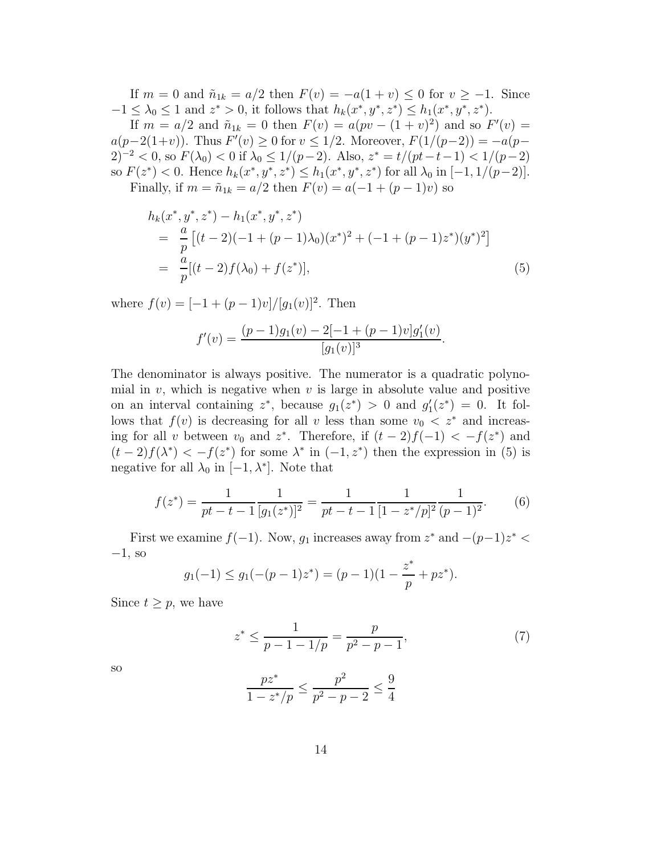If  $m = 0$  and  $\tilde{n}_{1k} = a/2$  then  $F(v) = -a(1 + v) \leq 0$  for  $v \geq -1$ . Since  $-1 \leq \lambda_0 \leq 1$  and  $z^* > 0$ , it follows that  $h_k(x^*, y^*, z^*) \leq h_1(x^*, y^*, z^*).$ 

If  $m = a/2$  and  $\tilde{n}_{1k} = 0$  then  $F(v) = a(pv - (1 + v)^2)$  and so  $F'(v) =$  $a(p-2(1+v))$ . Thus  $F'(v) \ge 0$  for  $v \le 1/2$ . Moreover,  $F(1/(p-2)) = -a(p-$ 2)<sup>-2</sup> < 0, so  $F(\lambda_0)$  < 0 if  $\lambda_0 \le 1/(p-2)$ . Also,  $z^* = t/(pt-t-1) < 1/(p-2)$ so  $F(z^*) < 0$ . Hence  $h_k(x^*, y^*, z^*) \leq h_1(x^*, y^*, z^*)$  for all  $\lambda_0$  in  $[-1, 1/(p-2)]$ . Finally, if  $m = \tilde{n}_{1k} = a/2$  then  $F(v) = a(-1 + (p-1)v)$  so

$$
h_k(x^*, y^*, z^*) - h_1(x^*, y^*, z^*)
$$
  
= 
$$
\frac{a}{p} [(t - 2)(-1 + (p - 1)\lambda_0)(x^*)^2 + (-1 + (p - 1)z^*)(y^*)^2]
$$
  
= 
$$
\frac{a}{p} [(t - 2)f(\lambda_0) + f(z^*)],
$$
 (5)

where  $f(v) = [-1 + (p-1)v]/[g_1(v)]^2$ . Then

$$
f'(v) = \frac{(p-1)g_1(v) - 2[-1 + (p-1)v]g'_1(v)}{[g_1(v)]^3}.
$$

The denominator is always positive. The numerator is a quadratic polynomial in v, which is negative when v is large in absolute value and positive on an interval containing  $z^*$ , because  $g_1(z^*) > 0$  and  $g'_1(z^*) = 0$ . It follows that  $f(v)$  is decreasing for all v less than some  $v_0 < z^*$  and increasing for all v between  $v_0$  and  $z^*$ . Therefore, if  $(t-2)f(-1) < -f(z^*)$  and  $(t-2)f(\lambda^*) < -f(z^*)$  for some  $\lambda^*$  in  $(-1, z^*)$  then the expression in (5) is negative for all  $\lambda_0$  in [-1,  $\lambda^*$ ]. Note that

$$
f(z^*) = \frac{1}{pt - t - 1} \frac{1}{[g_1(z^*)]^2} = \frac{1}{pt - t - 1} \frac{1}{[1 - z^*/p]^2} \frac{1}{(p - 1)^2}.
$$
 (6)

First we examine  $f(-1)$ . Now,  $g_1$  increases away from  $z^*$  and  $-(p-1)z^*$  <  $-1$ , so

$$
g_1(-1) \le g_1(-(p-1)z^*) = (p-1)(1-\frac{z^*}{p}+pz^*).
$$

Since  $t \geq p$ , we have

$$
z^* \le \frac{1}{p - 1 - 1/p} = \frac{p}{p^2 - p - 1},\tag{7}
$$

so

$$
\frac{pz^*}{1 - z^*/p} \le \frac{p^2}{p^2 - p - 2} \le \frac{9}{4}
$$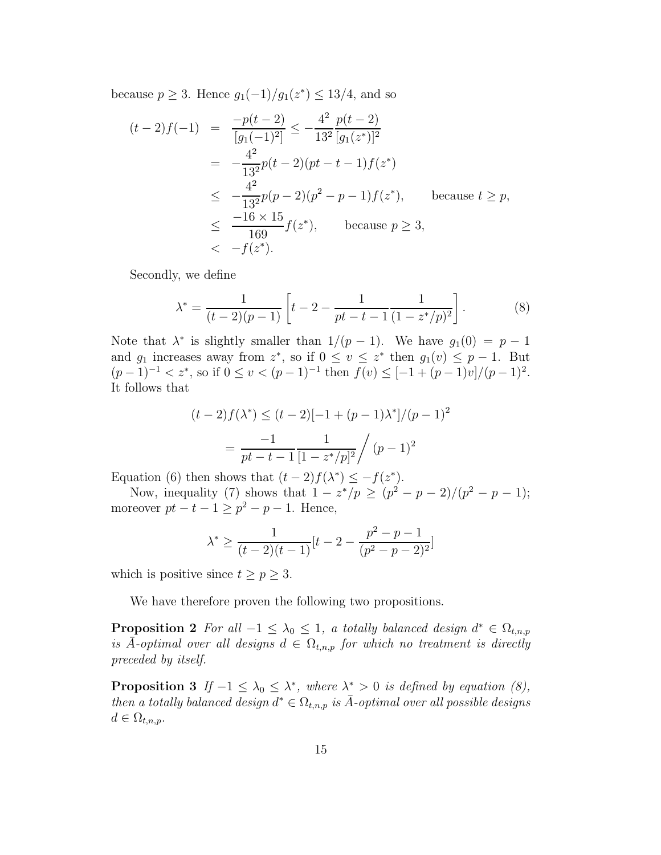because  $p \ge 3$ . Hence  $g_1(-1)/g_1(z^*) \le 13/4$ , and so

$$
(t-2)f(-1) = \frac{-p(t-2)}{[g_1(-1)^2]} \le -\frac{4^2}{13^2} \frac{p(t-2)}{[g_1(z^*)]^2}
$$
  
=  $-\frac{4^2}{13^2}p(t-2)(pt-t-1)f(z^*)$   
 $\le -\frac{4^2}{13^2}p(p-2)(p^2-p-1)f(z^*)$ , because  $t \ge p$ ,  
 $\le -\frac{16 \times 15}{169}f(z^*)$ , because  $p \ge 3$ ,  
 $\le -f(z^*)$ .

Secondly, we define

$$
\lambda^* = \frac{1}{(t-2)(p-1)} \left[ t - 2 - \frac{1}{pt - t - 1} \frac{1}{(1 - z^*)p^2} \right].
$$
 (8)

Note that  $\lambda^*$  is slightly smaller than  $1/(p-1)$ . We have  $g_1(0) = p-1$ and  $g_1$  increases away from  $z^*$ , so if  $0 \le v \le z^*$  then  $g_1(v) \le p-1$ . But  $(p-1)^{-1} < z^*$ , so if  $0 \le v < (p-1)^{-1}$  then  $f(v) \le [-1 + (p-1)v]/(p-1)^2$ . It follows that

$$
(t-2)f(\lambda^*) \le (t-2)[-1+(p-1)\lambda^*]/(p-1)^2
$$

$$
= \frac{-1}{pt-t-1} \frac{1}{[1-z^*/p]^2} / (p-1)^2
$$

Equation (6) then shows that  $(t-2)f(\lambda^*) \leq -f(z^*)$ .

Now, inequality (7) shows that  $1 - z^*/p \ge (p^2 - p - 2)/(p^2 - p - 1);$ moreover  $pt - t - 1 \ge p^2 - p - 1$ . Hence,

$$
\lambda^* \ge \frac{1}{(t-2)(t-1)}[t-2-\frac{p^2-p-1}{(p^2-p-2)^2}]
$$

which is positive since  $t \ge p \ge 3$ .

We have therefore proven the following two propositions.

**Proposition 2** For all  $-1 \leq \lambda_0 \leq 1$ , a totally balanced design  $d^* \in \Omega_{t,n,p}$ is  $\bar{A}$ -optimal over all designs  $d \in \Omega_{t,n,p}$  for which no treatment is directly preceded by itself.

**Proposition 3** If  $-1 \leq \lambda_0 \leq \lambda^*$ , where  $\lambda^* > 0$  is defined by equation (8), then a totally balanced design  $d^* \in \Omega_{t,n,p}$  is  $\bar{A}$ -optimal over all possible designs  $d \in \Omega_{t,n,p}.$